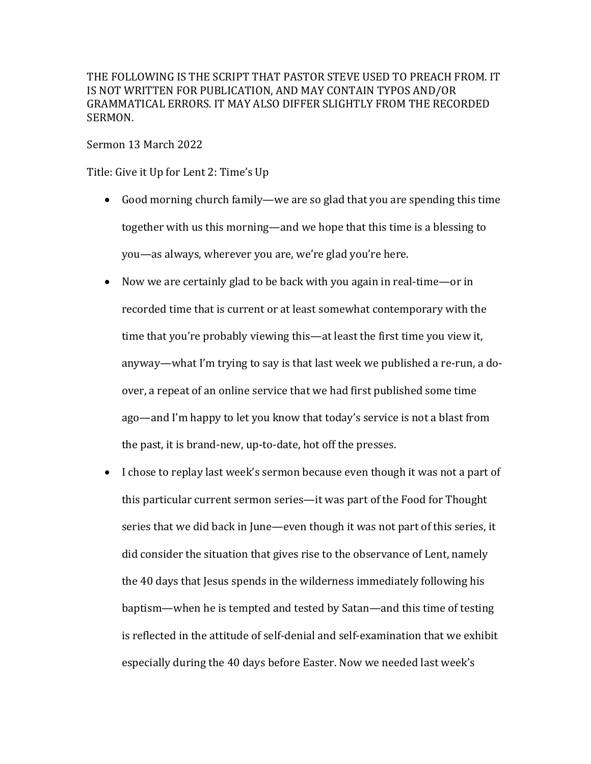THE FOLLOWING IS THE SCRIPT THAT PASTOR STEVE USED TO PREACH FROM. IT IS NOT WRITTEN FOR PUBLICATION, AND MAY CONTAIN TYPOS AND/OR GRAMMATICAL ERRORS. IT MAY ALSO DIFFER SLIGHTLY FROM THE RECORDED SERMON.

Sermon 13 March 2022

Title: Give it Up for Lent 2: Time's Up

- Good morning church family—we are so glad that you are spending this time together with us this morning—and we hope that this time is a blessing to you—as always, wherever you are, we're glad you're here.
- Now we are certainly glad to be back with you again in real-time—or in recorded time that is current or at least somewhat contemporary with the time that you're probably viewing this—at least the first time you view it, anyway—what I'm trying to say is that last week we published a re-run, a doover, a repeat of an online service that we had first published some time ago—and I'm happy to let you know that today's service is not a blast from the past, it is brand-new, up-to-date, hot off the presses.
- I chose to replay last week's sermon because even though it was not a part of this particular current sermon series—it was part of the Food for Thought series that we did back in June—even though it was not part of this series, it did consider the situation that gives rise to the observance of Lent, namely the 40 days that Jesus spends in the wilderness immediately following his baptism—when he is tempted and tested by Satan—and this time of testing is reflected in the attitude of self-denial and self-examination that we exhibit especially during the 40 days before Easter. Now we needed last week's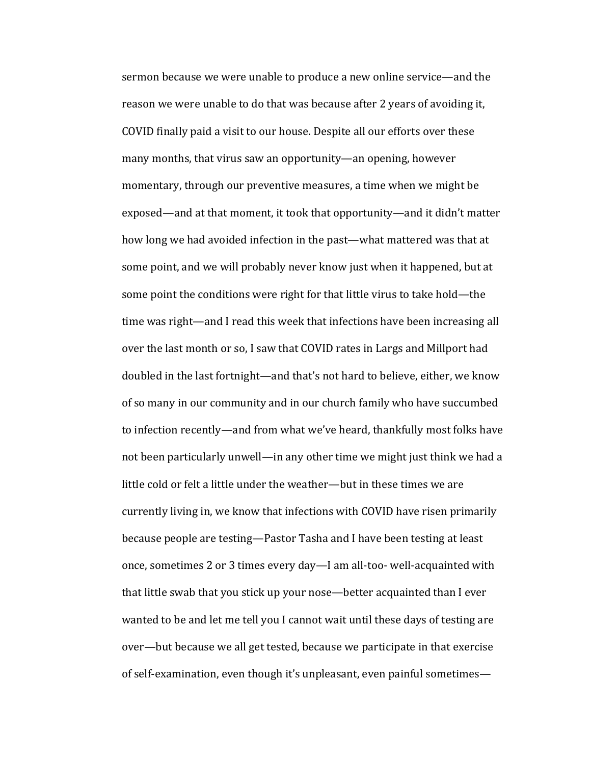sermon because we were unable to produce a new online service—and the reason we were unable to do that was because after 2 years of avoiding it, COVID finally paid a visit to our house. Despite all our efforts over these many months, that virus saw an opportunity—an opening, however momentary, through our preventive measures, a time when we might be exposed—and at that moment, it took that opportunity—and it didn't matter how long we had avoided infection in the past—what mattered was that at some point, and we will probably never know just when it happened, but at some point the conditions were right for that little virus to take hold—the time was right—and I read this week that infections have been increasing all over the last month or so, I saw that COVID rates in Largs and Millport had doubled in the last fortnight—and that's not hard to believe, either, we know of so many in our community and in our church family who have succumbed to infection recently—and from what we've heard, thankfully most folks have not been particularly unwell—in any other time we might just think we had a little cold or felt a little under the weather—but in these times we are currently living in, we know that infections with COVID have risen primarily because people are testing—Pastor Tasha and I have been testing at least once, sometimes 2 or 3 times every day—I am all-too- well-acquainted with that little swab that you stick up your nose—better acquainted than I ever wanted to be and let me tell you I cannot wait until these days of testing are over—but because we all get tested, because we participate in that exercise of self-examination, even though it's unpleasant, even painful sometimes—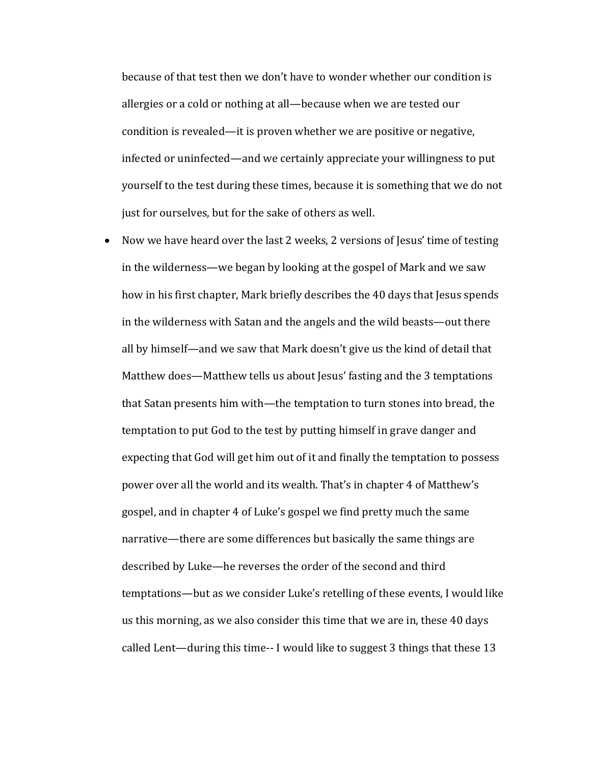because of that test then we don't have to wonder whether our condition is allergies or a cold or nothing at all-because when we are tested our condition is revealed—it is proven whether we are positive or negative, infected or uninfected—and we certainly appreciate your willingness to put yourself to the test during these times, because it is something that we do not just for ourselves, but for the sake of others as well.

• Now we have heard over the last 2 weeks, 2 versions of Jesus' time of testing in the wilderness—we began by looking at the gospel of Mark and we saw how in his first chapter, Mark briefly describes the 40 days that Jesus spends in the wilderness with Satan and the angels and the wild beasts—out there all by himself—and we saw that Mark doesn't give us the kind of detail that Matthew does—Matthew tells us about Jesus' fasting and the 3 temptations that Satan presents him with—the temptation to turn stones into bread, the temptation to put God to the test by putting himself in grave danger and expecting that God will get him out of it and finally the temptation to possess power over all the world and its wealth. That's in chapter 4 of Matthew's gospel, and in chapter 4 of Luke's gospel we find pretty much the same narrative—there are some differences but basically the same things are described by Luke—he reverses the order of the second and third temptations—but as we consider Luke's retelling of these events, I would like us this morning, as we also consider this time that we are in, these 40 days called Lent—during this time-- I would like to suggest 3 things that these 13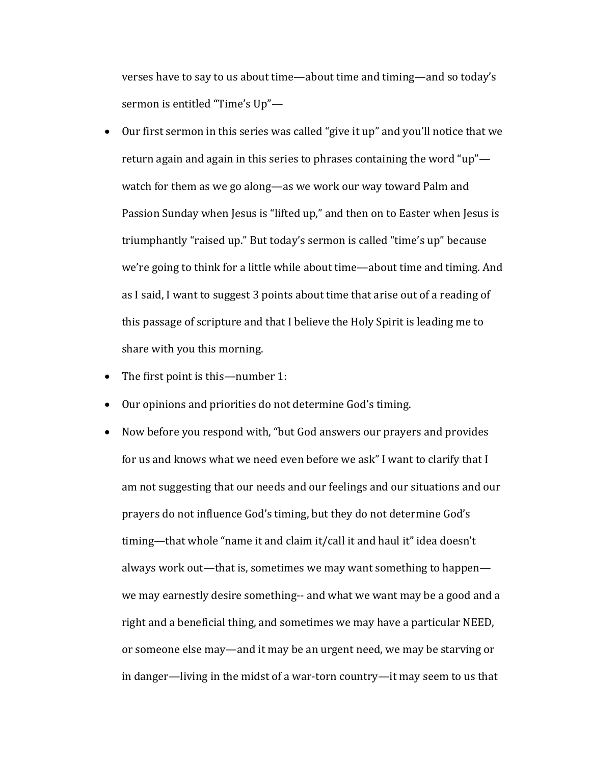verses have to say to us about time—about time and timing—and so today's sermon is entitled "Time's Up"-

- Our first sermon in this series was called "give it up" and you'll notice that we return again and again in this series to phrases containing the word "up" watch for them as we go along—as we work our way toward Palm and Passion Sunday when Jesus is "lifted up," and then on to Easter when Jesus is triumphantly "raised up." But today's sermon is called "time's up" because we're going to think for a little while about time—about time and timing. And as I said, I want to suggest 3 points about time that arise out of a reading of this passage of scripture and that I believe the Holy Spirit is leading me to share with you this morning.
- The first point is this—number 1:
- Our opinions and priorities do not determine God's timing.
- Now before you respond with, "but God answers our prayers and provides for us and knows what we need even before we ask" I want to clarify that I am not suggesting that our needs and our feelings and our situations and our prayers do not influence God's timing, but they do not determine God's timing—that whole "name it and claim it/call it and haul it" idea doesn't always work out—that is, sometimes we may want something to happen we may earnestly desire something-- and what we want may be a good and a right and a beneficial thing, and sometimes we may have a particular NEED, or someone else may—and it may be an urgent need, we may be starving or in danger—living in the midst of a war-torn country—it may seem to us that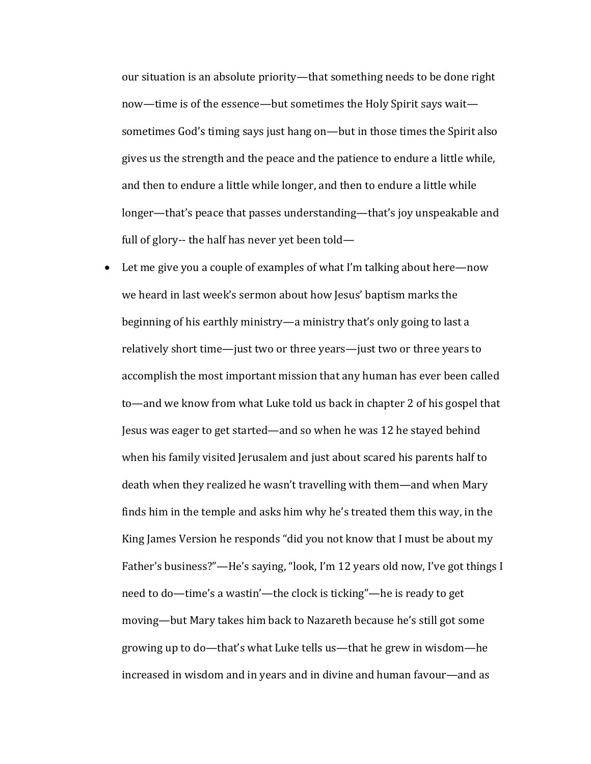our situation is an absolute priority—that something needs to be done right now—time is of the essence—but sometimes the Holy Spirit says wait sometimes God's timing says just hang on—but in those times the Spirit also gives us the strength and the peace and the patience to endure a little while, and then to endure a little while longer, and then to endure a little while longer—that's peace that passes understanding—that's joy unspeakable and full of glory-- the half has never yet been told—

• Let me give you a couple of examples of what I'm talking about here—now we heard in last week's sermon about how Jesus' baptism marks the beginning of his earthly ministry—a ministry that's only going to last a relatively short time—just two or three years—just two or three years to accomplish the most important mission that any human has ever been called to—and we know from what Luke told us back in chapter 2 of his gospel that Jesus was eager to get started—and so when he was 12 he stayed behind when his family visited Jerusalem and just about scared his parents half to death when they realized he wasn't travelling with them—and when Mary finds him in the temple and asks him why he's treated them this way, in the King James Version he responds "did you not know that I must be about my Father's business?"—He's saying, "look, I'm 12 years old now, I've got things I need to do—time's a wastin'—the clock is ticking"—he is ready to get moving—but Mary takes him back to Nazareth because he's still got some growing up to do—that's what Luke tells us—that he grew in wisdom—he increased in wisdom and in years and in divine and human favour—and as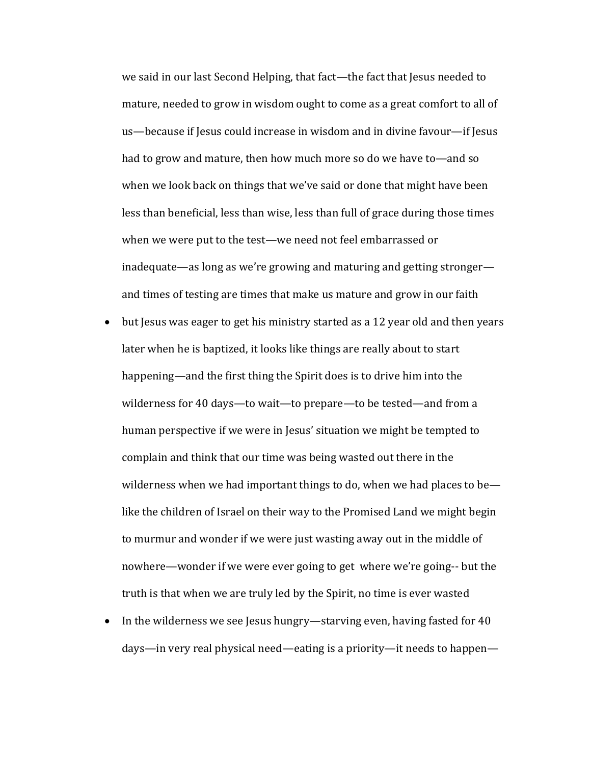we said in our last Second Helping, that fact—the fact that Jesus needed to mature, needed to grow in wisdom ought to come as a great comfort to all of us—because if Jesus could increase in wisdom and in divine favour—if Jesus had to grow and mature, then how much more so do we have to—and so when we look back on things that we've said or done that might have been less than beneficial, less than wise, less than full of grace during those times when we were put to the test—we need not feel embarrassed or inadequate—as long as we're growing and maturing and getting stronger and times of testing are times that make us mature and grow in our faith

- but Jesus was eager to get his ministry started as a 12 year old and then years later when he is baptized, it looks like things are really about to start happening—and the first thing the Spirit does is to drive him into the wilderness for 40 days—to wait—to prepare—to be tested—and from a human perspective if we were in Jesus' situation we might be tempted to complain and think that our time was being wasted out there in the wilderness when we had important things to do, when we had places to belike the children of Israel on their way to the Promised Land we might begin to murmur and wonder if we were just wasting away out in the middle of nowhere—wonder if we were ever going to get where we're going-- but the truth is that when we are truly led by the Spirit, no time is ever wasted
- In the wilderness we see Jesus hungry—starving even, having fasted for 40 days—in very real physical need—eating is a priority—it needs to happen—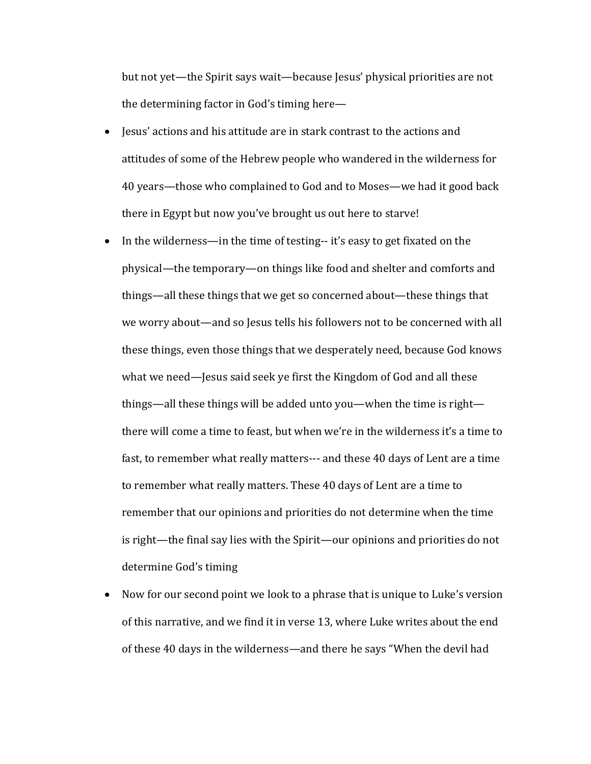but not yet—the Spirit says wait—because Jesus' physical priorities are not the determining factor in God's timing here-

- Jesus' actions and his attitude are in stark contrast to the actions and attitudes of some of the Hebrew people who wandered in the wilderness for 40 years—those who complained to God and to Moses—we had it good back there in Egypt but now you've brought us out here to starve!
- In the wilderness—in the time of testing-- it's easy to get fixated on the physical—the temporary—on things like food and shelter and comforts and things—all these things that we get so concerned about—these things that we worry about—and so Jesus tells his followers not to be concerned with all these things, even those things that we desperately need, because God knows what we need—Jesus said seek ye first the Kingdom of God and all these things—all these things will be added unto you—when the time is right there will come a time to feast, but when we're in the wilderness it's a time to fast, to remember what really matters--- and these 40 days of Lent are a time to remember what really matters. These 40 days of Lent are a time to remember that our opinions and priorities do not determine when the time is right—the final say lies with the Spirit—our opinions and priorities do not determine God's timing
- Now for our second point we look to a phrase that is unique to Luke's version of this narrative, and we find it in verse 13, where Luke writes about the end of these 40 days in the wilderness—and there he says "When the devil had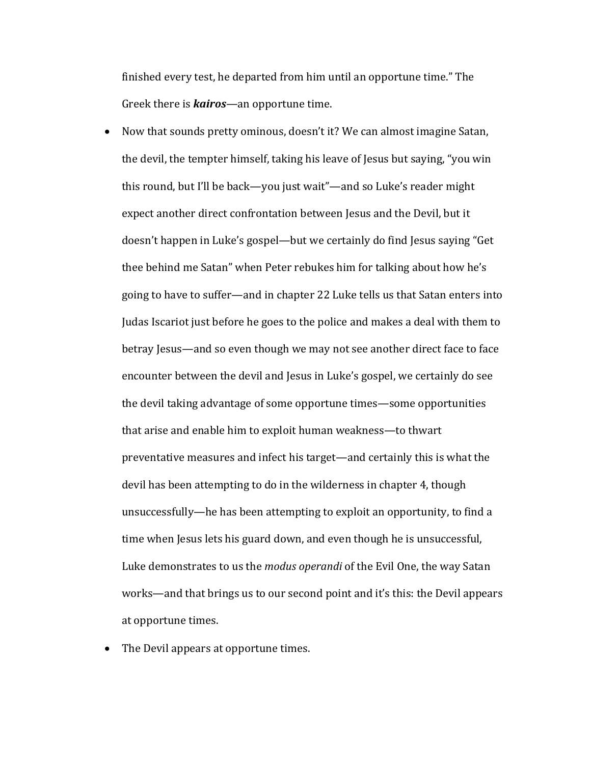finished every test, he departed from him until an opportune time." The Greek there is *kairos*—an opportune time.

- Now that sounds pretty ominous, doesn't it? We can almost imagine Satan, the devil, the tempter himself, taking his leave of Jesus but saying, "you win this round, but I'll be back—you just wait"—and so Luke's reader might expect another direct confrontation between Jesus and the Devil, but it doesn't happen in Luke's gospel—but we certainly do find Jesus saying "Get thee behind me Satan" when Peter rebukes him for talking about how he's going to have to suffer—and in chapter 22 Luke tells us that Satan enters into Judas Iscariot just before he goes to the police and makes a deal with them to betray Jesus—and so even though we may not see another direct face to face encounter between the devil and Jesus in Luke's gospel, we certainly do see the devil taking advantage of some opportune times—some opportunities that arise and enable him to exploit human weakness—to thwart preventative measures and infect his target—and certainly this is what the devil has been attempting to do in the wilderness in chapter 4, though unsuccessfully—he has been attempting to exploit an opportunity, to find a time when Jesus lets his guard down, and even though he is unsuccessful, Luke demonstrates to us the *modus operandi* of the Evil One, the way Satan works—and that brings us to our second point and it's this: the Devil appears at opportune times.
- The Devil appears at opportune times.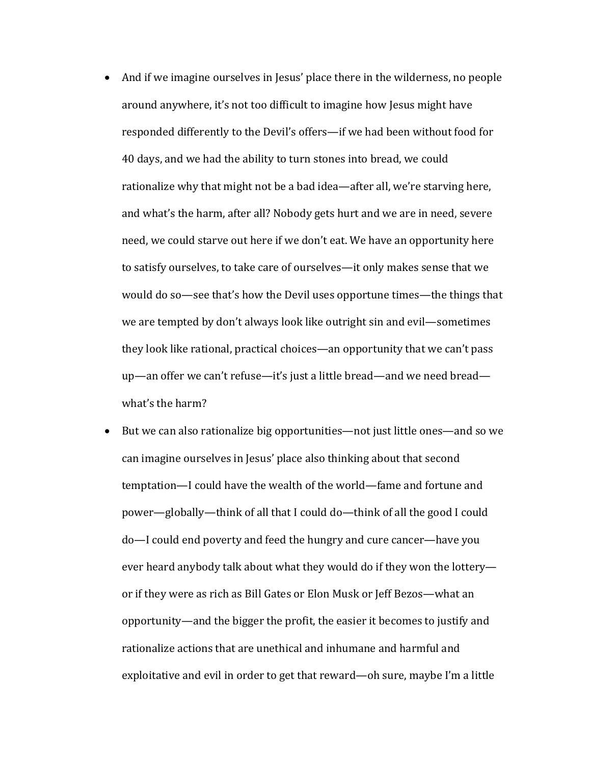- And if we imagine ourselves in Jesus' place there in the wilderness, no people around anywhere, it's not too difficult to imagine how Jesus might have responded differently to the Devil's offers—if we had been without food for 40 days, and we had the ability to turn stones into bread, we could rationalize why that might not be a bad idea—after all, we're starving here, and what's the harm, after all? Nobody gets hurt and we are in need, severe need, we could starve out here if we don't eat. We have an opportunity here to satisfy ourselves, to take care of ourselves—it only makes sense that we would do so—see that's how the Devil uses opportune times—the things that we are tempted by don't always look like outright sin and evil—sometimes they look like rational, practical choices—an opportunity that we can't pass up—an offer we can't refuse—it's just a little bread—and we need bread what's the harm?
- But we can also rationalize big opportunities—not just little ones—and so we can imagine ourselves in Jesus' place also thinking about that second temptation—I could have the wealth of the world—fame and fortune and power—globally—think of all that I could do—think of all the good I could do—I could end poverty and feed the hungry and cure cancer—have you ever heard anybody talk about what they would do if they won the lotteryor if they were as rich as Bill Gates or Elon Musk or Jeff Bezos—what an opportunity—and the bigger the profit, the easier it becomes to justify and rationalize actions that are unethical and inhumane and harmful and exploitative and evil in order to get that reward—oh sure, maybe I'm a little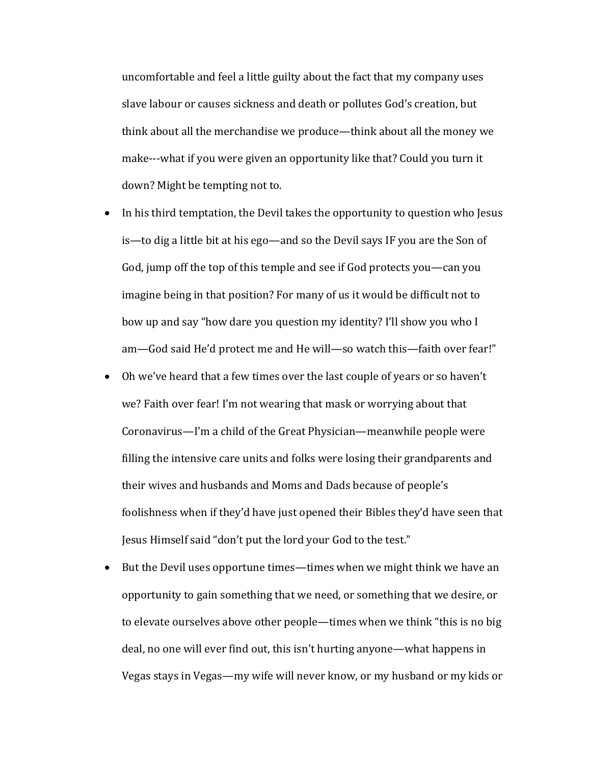uncomfortable and feel a little guilty about the fact that my company uses slave labour or causes sickness and death or pollutes God's creation, but think about all the merchandise we produce—think about all the money we make---what if you were given an opportunity like that? Could you turn it down? Might be tempting not to.

- In his third temptation, the Devil takes the opportunity to question who Jesus is—to dig a little bit at his ego—and so the Devil says IF you are the Son of God, jump off the top of this temple and see if God protects you—can you imagine being in that position? For many of us it would be difficult not to bow up and say "how dare you question my identity? I'll show you who I am—God said He'd protect me and He will—so watch this—faith over fear!"
- Oh we've heard that a few times over the last couple of years or so haven't we? Faith over fear! I'm not wearing that mask or worrying about that Coronavirus—I'm a child of the Great Physician—meanwhile people were filling the intensive care units and folks were losing their grandparents and their wives and husbands and Moms and Dads because of people's foolishness when if they'd have just opened their Bibles they'd have seen that Jesus Himself said "don't put the lord your God to the test."
- But the Devil uses opportune times—times when we might think we have an opportunity to gain something that we need, or something that we desire, or to elevate ourselves above other people—times when we think "this is no big deal, no one will ever find out, this isn't hurting anyone—what happens in Vegas stays in Vegas—my wife will never know, or my husband or my kids or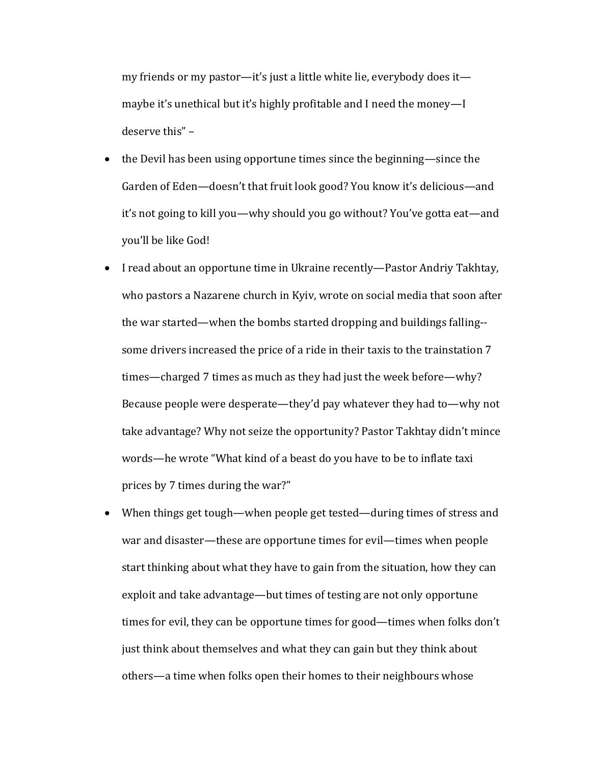my friends or my pastor—it's just a little white lie, everybody does it maybe it's unethical but it's highly profitable and I need the money—I deserve this" -

- the Devil has been using opportune times since the beginning—since the Garden of Eden—doesn't that fruit look good? You know it's delicious—and it's not going to kill you—why should you go without? You've gotta eat—and you'll be like God!
- I read about an opportune time in Ukraine recently—Pastor Andriy Takhtay, who pastors a Nazarene church in Kyiv, wrote on social media that soon after the war started—when the bombs started dropping and buildings falling-some drivers increased the price of a ride in their taxis to the trainstation 7 times—charged 7 times as much as they had just the week before—why? Because people were desperate—they'd pay whatever they had to—why not take advantage? Why not seize the opportunity? Pastor Takhtay didn't mince words—he wrote "What kind of a beast do you have to be to inflate taxi prices by 7 times during the war?"
- When things get tough—when people get tested—during times of stress and war and disaster—these are opportune times for evil—times when people start thinking about what they have to gain from the situation, how they can exploit and take advantage—but times of testing are not only opportune times for evil, they can be opportune times for good—times when folks don't just think about themselves and what they can gain but they think about others—a time when folks open their homes to their neighbours whose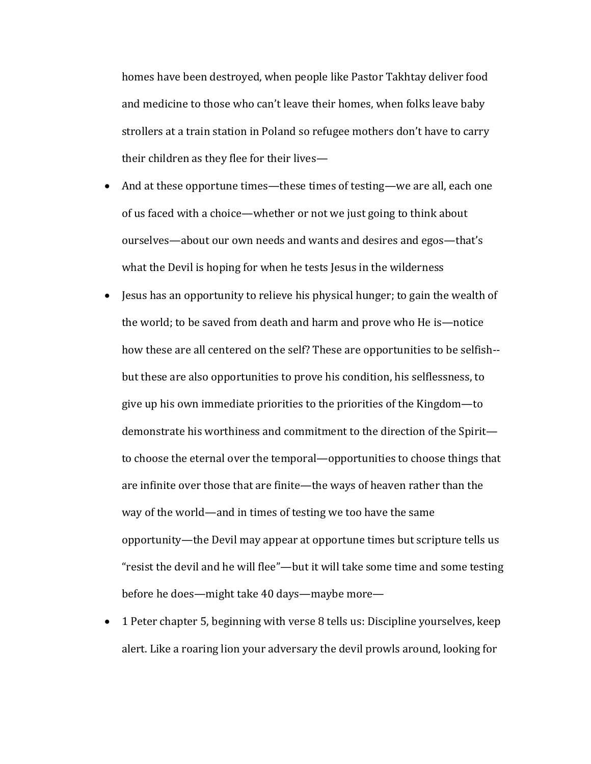homes have been destroyed, when people like Pastor Takhtay deliver food and medicine to those who can't leave their homes, when folks leave baby strollers at a train station in Poland so refugee mothers don't have to carry their children as they flee for their lives-

- And at these opportune times—these times of testing—we are all, each one of us faced with a choice—whether or not we just going to think about ourselves—about our own needs and wants and desires and egos—that's what the Devil is hoping for when he tests Jesus in the wilderness
- Jesus has an opportunity to relieve his physical hunger; to gain the wealth of the world; to be saved from death and harm and prove who He is—notice how these are all centered on the self? These are opportunities to be selfish-but these are also opportunities to prove his condition, his selflessness, to give up his own immediate priorities to the priorities of the Kingdom—to demonstrate his worthiness and commitment to the direction of the Spiritto choose the eternal over the temporal—opportunities to choose things that are infinite over those that are finite—the ways of heaven rather than the way of the world—and in times of testing we too have the same opportunity—the Devil may appear at opportune times but scripture tells us "resist the devil and he will flee"—but it will take some time and some testing before he does—might take 40 days—maybe more—
- 1 Peter chapter 5, beginning with verse 8 tells us: Discipline yourselves, keep alert. Like a roaring lion your adversary the devil prowls around, looking for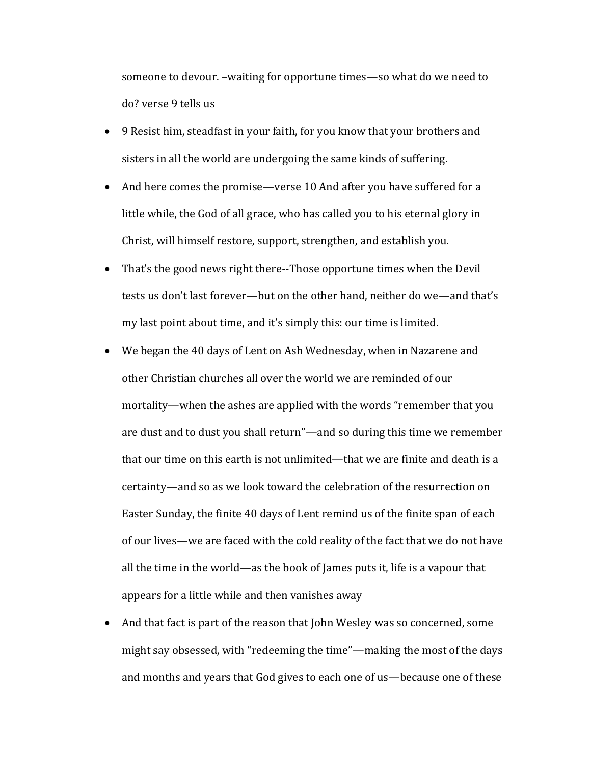someone to devour. -waiting for opportune times-so what do we need to do? verse 9 tells us

- 9 Resist him, steadfast in your faith, for you know that your brothers and sisters in all the world are undergoing the same kinds of suffering.
- And here comes the promise—verse 10 And after you have suffered for a little while, the God of all grace, who has called you to his eternal glory in Christ, will himself restore, support, strengthen, and establish you.
- That's the good news right there--Those opportune times when the Devil tests us don't last forever—but on the other hand, neither do we—and that's my last point about time, and it's simply this: our time is limited.
- We began the 40 days of Lent on Ash Wednesday, when in Nazarene and other Christian churches all over the world we are reminded of our mortality—when the ashes are applied with the words "remember that you are dust and to dust you shall return"—and so during this time we remember that our time on this earth is not unlimited—that we are finite and death is a certainty—and so as we look toward the celebration of the resurrection on Easter Sunday, the finite 40 days of Lent remind us of the finite span of each of our lives—we are faced with the cold reality of the fact that we do not have all the time in the world—as the book of James puts it, life is a vapour that appears for a little while and then vanishes away
- And that fact is part of the reason that John Wesley was so concerned, some might say obsessed, with "redeeming the time"—making the most of the days and months and years that God gives to each one of us—because one of these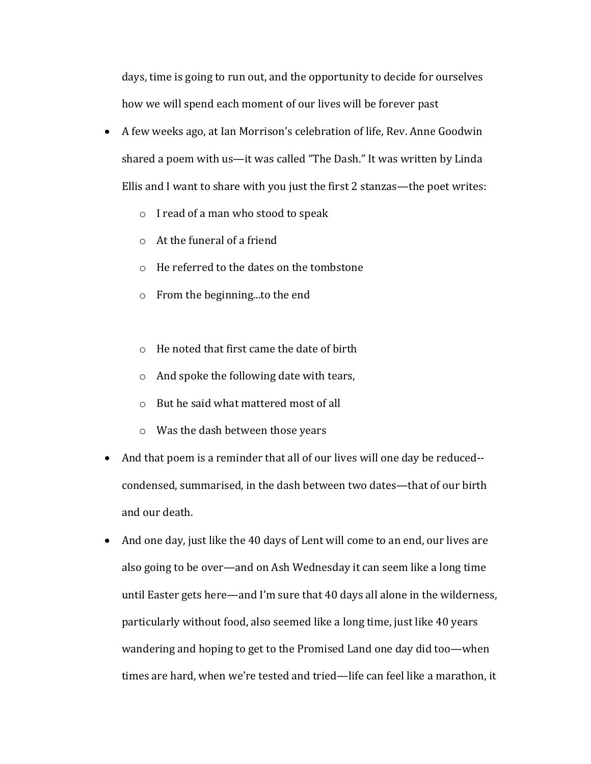days, time is going to run out, and the opportunity to decide for ourselves how we will spend each moment of our lives will be forever past

- A few weeks ago, at Ian Morrison's celebration of life, Rev. Anne Goodwin shared a poem with us—it was called "The Dash." It was written by Linda Ellis and I want to share with you just the first 2 stanzas—the poet writes:
	- $\circ$  I read of a man who stood to speak
	- $\circ$  At the funeral of a friend
	- $\circ$  He referred to the dates on the tombstone
	- $\circ$  From the beginning...to the end
	- $\circ$  He noted that first came the date of birth
	- $\circ$  And spoke the following date with tears,
	- $\circ$  But he said what mattered most of all
	- $\circ$  Was the dash between those years
- And that poem is a reminder that all of our lives will one day be reduced-condensed, summarised, in the dash between two dates-that of our birth and our death.
- And one day, just like the 40 days of Lent will come to an end, our lives are also going to be over—and on Ash Wednesday it can seem like a long time until Easter gets here—and I'm sure that 40 days all alone in the wilderness, particularly without food, also seemed like a long time, just like 40 years wandering and hoping to get to the Promised Land one day did too—when times are hard, when we're tested and tried—life can feel like a marathon, it